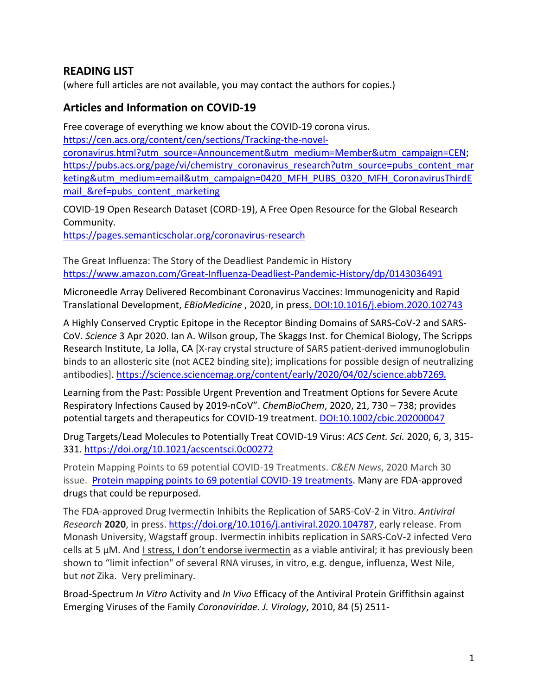## **READING LIST**

(where full articles are not available, you may contact the authors for copies.)

## **Articles and Information on COVID-19**

Free coverage of everything we know about the COVID-19 corona virus. [https://cen.acs.org/content/cen/sections/Tracking-the-novel-](https://cen.acs.org/content/cen/sections/Tracking-the-novel-coronavirus.html?utm_source=Announcement&utm_medium=Member&utm_campaign=CEN)

[coronavirus.html?utm\\_source=Announcement&utm\\_medium=Member&utm\\_campaign=CEN;](https://cen.acs.org/content/cen/sections/Tracking-the-novel-coronavirus.html?utm_source=Announcement&utm_medium=Member&utm_campaign=CEN) [https://pubs.acs.org/page/vi/chemistry\\_coronavirus\\_research?utm\\_source=pubs\\_content\\_mar](https://pubs.acs.org/page/vi/chemistry_coronavirus_research?utm_source=pubs_content_marketing&utm_medium=email&utm_campaign=0420_MFH_PUBS_0320_MFH_CoronavirusThirdEmail_&ref=pubs_content_marketing) [keting&utm\\_medium=email&utm\\_campaign=0420\\_MFH\\_PUBS\\_0320\\_MFH\\_CoronavirusThirdE](https://pubs.acs.org/page/vi/chemistry_coronavirus_research?utm_source=pubs_content_marketing&utm_medium=email&utm_campaign=0420_MFH_PUBS_0320_MFH_CoronavirusThirdEmail_&ref=pubs_content_marketing) mail &ref=pubs content marketing

COVID-19 Open Research Dataset (CORD-19), A Free Open Resource for the Global Research Community.

<https://pages.semanticscholar.org/coronavirus-research>

The Great Influenza: The Story of the Deadliest Pandemic in History <https://www.amazon.com/Great-Influenza-Deadliest-Pandemic-History/dp/0143036491>

Microneedle Array Delivered Recombinant Coronavirus Vaccines: Immunogenicity and Rapid Translational Development, *EBioMedicine* , 2020, in press. [DOI:10.1016/j.ebiom.2020.102743](https://doi.org/10.1016/j.ebiom.2020.102743)

A Highly Conserved Cryptic Epitope in the Receptor Binding Domains of SARS-CoV-2 and SARS-CoV. *Science* 3 Apr 2020. Ian A. Wilson group, The Skaggs Inst. for Chemical Biology, The Scripps Research Institute, La Jolla, CA [X-ray crystal structure of SARS patient-derived immunoglobulin binds to an allosteric site (not ACE2 binding site); implications for possible design of neutralizing antibodies]. <https://science.sciencemag.org/content/early/2020/04/02/science.abb7269>.

Learning from the Past: Possible Urgent Prevention and Treatment Options for Severe Acute Respiratory Infections Caused by 2019-nCoV". *ChemBioChem*, 2020, 21, 730 – 738; provides potential targets and therapeutics for COVID-19 treatment. [DOI:10.1002/cbic.202000047](https://onlinelibrary.wiley.com/doi/full/10.1002/cbic.202000047)

Drug Targets/Lead Molecules to Potentially Treat COVID-19 Virus: *ACS Cent. Sci.* 2020, 6, 3, 315- 331.<https://doi.org/10.1021/acscentsci.0c00272>

Protein Mapping Points to 69 potential COVID-19 Treatments. *C&EN News*, 2020 March 30 issue. [Protein mapping points to 69 potential COVID-19 treatments.](http://digital.olivesoftware.com/Olive/ODN/CEN/shared/ShowArticle.aspx?doc=CEN%2F2020%2F03%2F30&entity=Ar00600&sk=E529ECE4&mode=text) Many are FDA-approved drugs that could be repurposed.

The FDA-approved Drug Ivermectin Inhibits the Replication of SARS-CoV-2 in Vitro. *Antiviral Research* **2020**, in press. [https://doi.org/10.1016/j.antiviral.2020.104787,](https://doi.org/10.1016/j.antiviral.2020.104787) early release. From Monash University, Wagstaff group. Ivermectin inhibits replication in SARS-CoV-2 infected Vero cells at 5  $\mu$ M. And I stress, I don't endorse ivermectin as a viable antiviral; it has previously been shown to "limit infection" of several RNA viruses, in vitro, e.g. dengue, influenza, West Nile, but *not* Zika. Very preliminary.

Broad-Spectrum *In Vitro* Activity and *In Vivo* Efficacy of the Antiviral Protein Griffithsin against Emerging Viruses of the Family *Coronaviridae. J. Virology*, 2010, 84 (5) 2511-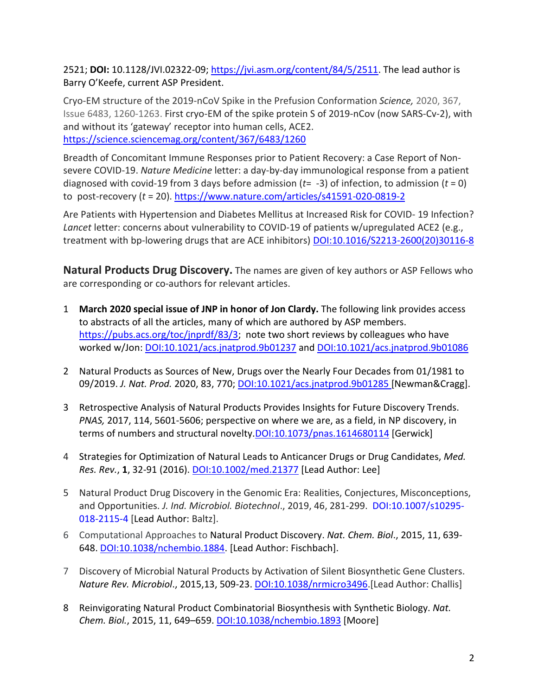2521; **DOI:** 10.1128/JVI.02322-09; [https://jvi.asm.org/content/84/5/2511.](https://jvi.asm.org/content/84/5/2511) The lead author is Barry O'Keefe, current ASP President.

Cryo-EM structure of the 2019-nCoV Spike in the Prefusion Conformation *Science,* 2020, 367, Issue 6483, 1260-1263. First cryo-EM of the spike protein S of 2019-nCov (now SARS-Cv-2), with and without its 'gateway' receptor into human cells, ACE2. <https://science.sciencemag.org/content/367/6483/1260>

Breadth of Concomitant Immune Responses prior to Patient Recovery: a Case Report of Nonsevere COVID-19. *Nature Medicine* letter: a day-by-day immunological response from a patient diagnosed with covid-19 from 3 days before admission (*t*= -3) of infection, to admission (*t* = 0) to post-recovery (*t* = 20)[. https://www.nature.com/articles/s41591-020-0819-2](https://www.nature.com/articles/s41591-020-0819-2)

Are Patients with Hypertension and Diabetes Mellitus at Increased Risk for COVID- 19 Infection? *Lancet* letter: concerns about vulnerability to COVID-19 of patients w/upregulated ACE2 (e.g., treatment with bp-lowering drugs that are ACE inhibitors) [DOI:10.1016/S2213-2600\(20\)30116-8](https://doi.org/10.1016/S2213-2600(20)30116-8)

**Natural Products Drug Discovery.** The names are given of key authors or ASP Fellows who are corresponding or co-authors for relevant articles.

- 1 **March 2020 special issue of JNP in honor of Jon Clardy.** The following link provides access to abstracts of all the articles, many of which are authored by ASP members. [https://pubs.acs.org/toc/jnprdf/83/3;](https://pubs.acs.org/toc/jnprdf/83/3) note two short reviews by colleagues who have worked w/Jon: [DOI:10.1021/acs.jnatprod.9b01237](https://doi.org/10.1021/acs.jnatprod.9b01237) and [DOI:10.1021/acs.jnatprod.9b01086](https://doi.org/10.1021/acs.jnatprod.9b01086)
- 2 Natural Products as Sources of New, Drugs over the Nearly Four Decades from 01/1981 to 09/2019. *J. Nat. Prod.* 2020, 83, 770; [DOI:10.1021/acs.jnatprod.9b01285](https://doi.org/10.1021/acs.jnatprod.9b01285) [Newman&Cragg].
- 3 Retrospective Analysis of Natural Products Provides Insights for Future Discovery Trends. *PNAS,* 2017, 114, 5601-5606; perspective on where we are, as a field, in NP discovery, in terms of numbers and structural novelty[.DOI:10.1073/pnas.1614680114](https://doi.org/10.1073/pnas.1614680114) [Gerwick]
- 4 Strategies for Optimization of Natural Leads to Anticancer Drugs or Drug Candidates, *Med. Res. Rev.*, **1**, 32-91 (2016). [DOI:10.1002/med.21377](https://doi.org/10.1002/med.21377) [Lead Author: Lee]
- 5 Natural Product Drug Discovery in the Genomic Era: Realities, Conjectures, Misconceptions, and Opportunities. *J. Ind. Microbiol. Biotechnol*., 2019, 46, 281-299. [DOI:10.1007/s10295-](https://doi.org/10.1007/s10295-018-2115-4) [018-2115-4](https://doi.org/10.1007/s10295-018-2115-4) [Lead Author: Baltz].
- 6 Computational Approaches to Natural Product Discovery. *Nat. Chem. Biol*., 2015, 11, 639- 648. [DOI:10.1038/nchembio.1884.](https://doi.org/10.1038/nchembio.1884) [Lead Author: Fischbach].
- 7 Discovery of Microbial Natural Products by Activation of Silent Biosynthetic Gene Clusters. *Nature Rev. Microbiol*., 2015,13, 509-23. [DOI:10.1038/nrmicro3496.](https://doi.org/10.1038/nrmicro3496)[Lead Author: Challis]
- 8 Reinvigorating Natural Product Combinatorial Biosynthesis with Synthetic Biology. *Nat. Chem. Biol.*, 2015, 11, 649–659. [DOI:10.1038/nchembio.1893](https://doi.org/10.1038/nchembio.1893) [Moore]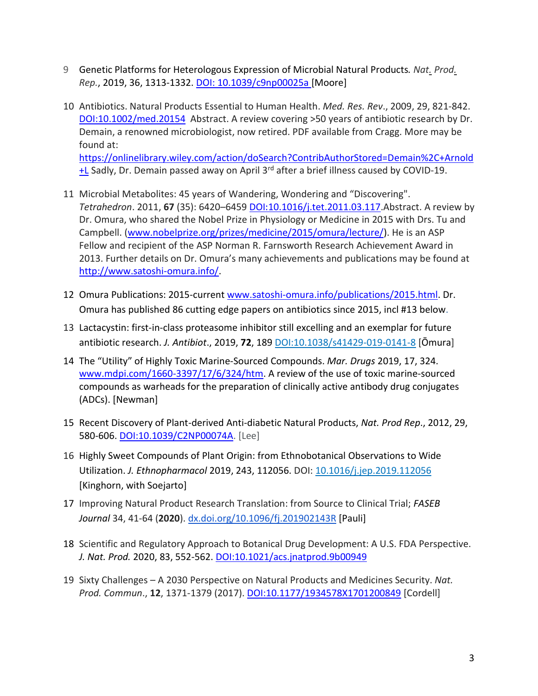- 9 Genetic Platforms for Heterologous Expression of Microbial Natural Products*. Nat. [Prod.](https://www.ncbi.nlm.nih.gov/pubmed/31197291) [Rep.](https://www.ncbi.nlm.nih.gov/pubmed/31197291)*, 2019, 36, 1313-1332. DOI: [10.1039/c9np00025a](https://doi.org/10.1039/c9np00025a) [Moore]
- 10 Antibiotics. Natural Products Essential to Human Health. *Med. Res. Rev*., 2009, 29, 821-842. [DOI:10.1002/med.20154](https://doi.org/10.1002/med.20154) Abstract. A review covering >50 years of antibiotic research by Dr. Demain, a renowned microbiologist, now retired. PDF available from Cragg. More may be found at: [https://onlinelibrary.wiley.com/action/doSearch?ContribAuthorStored=Demain%2C+Arnold](https://onlinelibrary.wiley.com/action/doSearch?ContribAuthorStored=Demain%2C+Arnold+L) [+L](https://onlinelibrary.wiley.com/action/doSearch?ContribAuthorStored=Demain%2C+Arnold+L) Sadly, Dr. Demain passed away on April 3<sup>rd</sup> after a brief illness caused by COVID-19.
- 11 Microbial Metabolites: 45 years of Wandering, Wondering and "Discovering". *Tetrahedron*. 2011, **67** (35): 6420–6459 DOI:[10.1016/j.tet.2011.03.117.](https://doi.org/10.1016%2Fj.tet.2011.03.117)Abstract. A review by Dr. Omura, who shared the Nobel Prize in Physiology or Medicine in 2015 with Drs. Tu and Campbell. [\(www.nobelprize.org/prizes/medicine/2015/omura/lecture/\)](http://www.nobelprize.org/prizes/medicine/2015/omura/lecture/). He is an ASP Fellow and recipient of the ASP Norman R. Farnsworth Research Achievement Award in 2013. Further details on Dr. Omura's many achievements and publications may be found at [http://www.satoshi-omura.info/.](http://www.satoshi-omura.info/)
- 12 Omura Publications: 2015-current [www.satoshi-omura.info/publications/2015.html.](http://www.satoshi-omura.info/publications/2015.html) Dr. Omura has published 86 cutting edge papers on antibiotics since 2015, incl #13 below.
- 13 Lactacystin: first-in-class proteasome inhibitor still excelling and an exemplar for future antibiotic research. *J. Antibiot*., 2019, **72**, 189 [DOI:10.1038/s41429-019-0141-8](https://doi.org/10.1038/s41429-019-0141-8) [Ōmura]
- 14 The "Utility" of Highly Toxic Marine-Sourced Compounds. *Mar. Drugs* 2019, 17, 324. [www.mdpi.com/1660-3397/17/6/324/htm.](http://www.mdpi.com/1660-3397/17/6/324/htm) A review of the use of toxic marine-sourced compounds as warheads for the preparation of clinically active antibody drug conjugates (ADCs). [Newman]
- 15 Recent Discovery of Plant-derived Anti-diabetic Natural Products, *Nat. Prod Rep*., 2012, 29, 580-606. [DOI:10.1039/C2NP00074A.](https://doi.org/10.1039/C2NP00074A) [Lee]
- 16 Highly Sweet Compounds of Plant Origin: from Ethnobotanical Observations to Wide Utilization. *J. Ethnopharmacol* 2019, 243, 112056. DOI: [10.1016/j.jep.2019.112056](https://doi.org/10.1016/j.jep.2019.112056) [Kinghorn, with Soejarto]
- 17 Improving Natural Product Research Translation: from Source to Clinical Trial; *FASEB Journal* 34, 41-64 (**2020**). [dx.doi.org/10.1096/fj.201902143R](https://dx.doi.org/10.1096/fj.201902143R) [Pauli]
- 18 Scientific and Regulatory Approach to Botanical Drug Development: A U.S. FDA Perspective. *J. Nat. Prod.* 2020, 83, 552-562. [DOI:10.1021/acs.jnatprod.9b00949](https://doi.org/10.1021/acs.jnatprod.9b00949)
- 19 Sixty Challenges A 2030 Perspective on Natural Products and Medicines Security. *Nat. Prod. Commun*., **12**, 1371-1379 (2017). [DOI:10.1177/1934578X1701200849](https://doi.org/10.1177%2F1934578X1701200849) [Cordell]